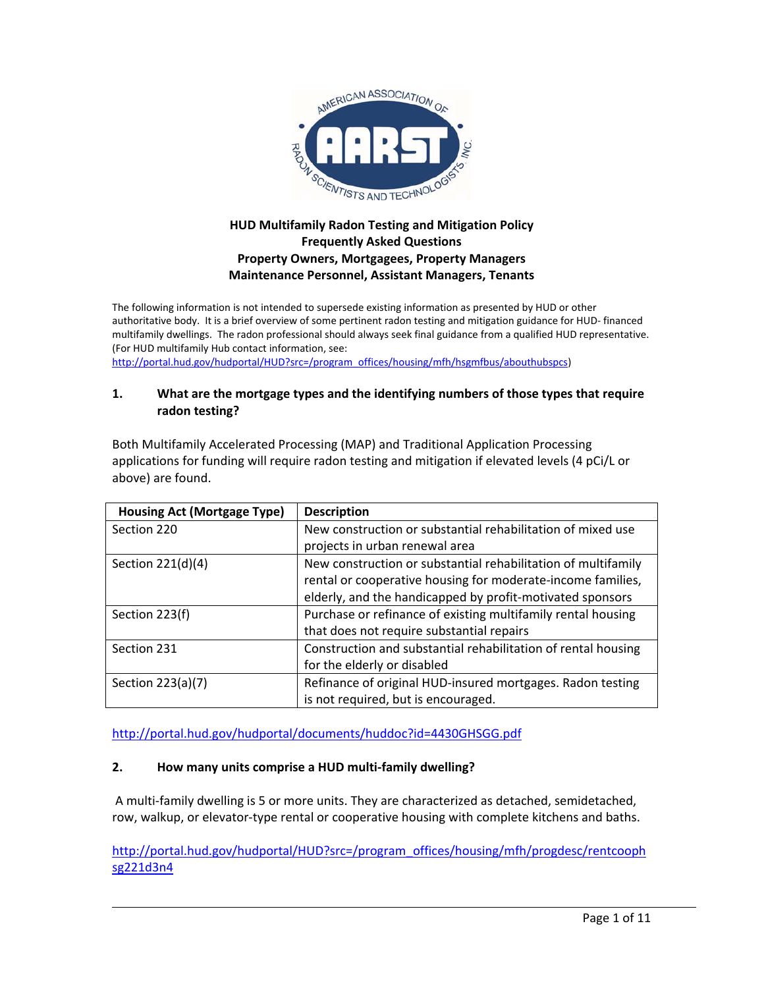

# **HUD Multifamily Radon Testing and Mitigation Policy Frequently Asked Questions Property Owners, Mortgagees, Property Managers Maintenance Personnel, Assistant Managers, Tenants**

The following information is not intended to supersede existing information as presented by HUD or other authoritative body. It is a brief overview of some pertinent radon testing and mitigation guidance for HUD‐ financed multifamily dwellings. The radon professional should always seek final guidance from a qualified HUD representative. (For HUD multifamily Hub contact information, see:

http://portal.hud.gov/hudportal/HUD?src=/program\_offices/housing/mfh/hsgmfbus/abouthubspcs)

#### **1. What are the mortgage types and the identifying numbers of those types that require radon testing?**

Both Multifamily Accelerated Processing (MAP) and Traditional Application Processing applications for funding will require radon testing and mitigation if elevated levels (4 pCi/L or above) are found.

| <b>Housing Act (Mortgage Type)</b> | <b>Description</b>                                            |
|------------------------------------|---------------------------------------------------------------|
| Section 220                        | New construction or substantial rehabilitation of mixed use   |
|                                    | projects in urban renewal area                                |
| Section 221(d)(4)                  | New construction or substantial rehabilitation of multifamily |
|                                    | rental or cooperative housing for moderate-income families,   |
|                                    | elderly, and the handicapped by profit-motivated sponsors     |
| Section 223(f)                     | Purchase or refinance of existing multifamily rental housing  |
|                                    | that does not require substantial repairs                     |
| Section 231                        | Construction and substantial rehabilitation of rental housing |
|                                    | for the elderly or disabled                                   |
| Section 223(a)(7)                  | Refinance of original HUD-insured mortgages. Radon testing    |
|                                    | is not required, but is encouraged.                           |

http://portal.hud.gov/hudportal/documents/huddoc?id=4430GHSGG.pdf

### **2. How many units comprise a HUD multi‐family dwelling?**

A multi‐family dwelling is 5 or more units. They are characterized as detached, semidetached, row, walkup, or elevator-type rental or cooperative housing with complete kitchens and baths.

http://portal.hud.gov/hudportal/HUD?src=/program\_offices/housing/mfh/progdesc/rentcooph sg221d3n4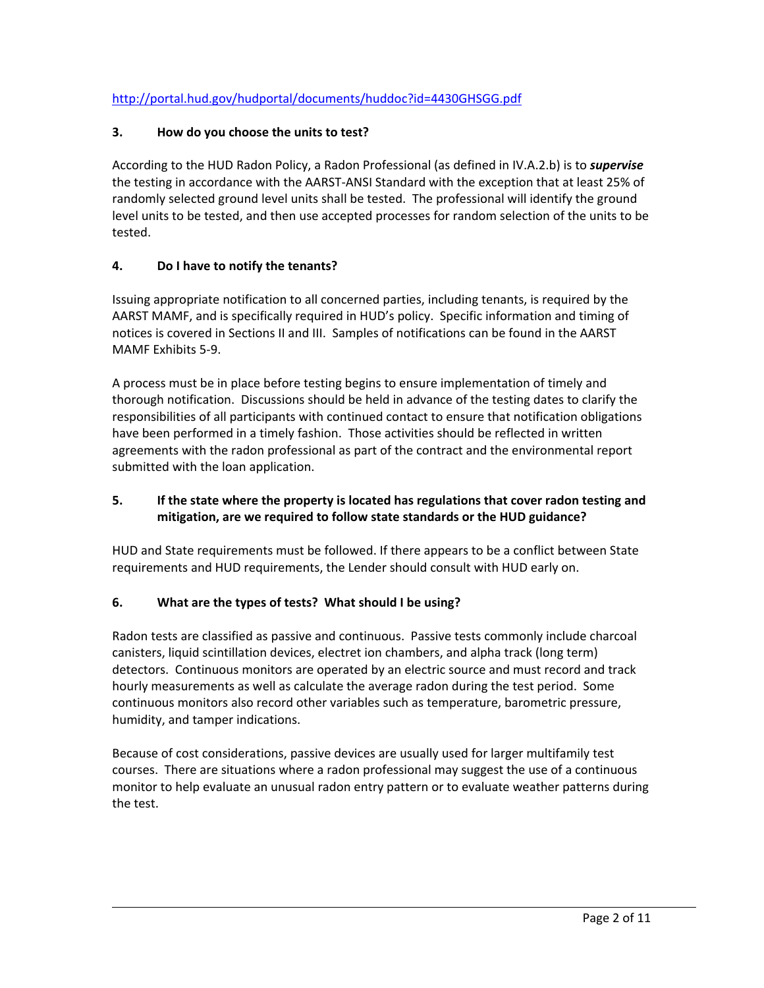# http://portal.hud.gov/hudportal/documents/huddoc?id=4430GHSGG.pdf

### **3. How do you choose the units to test?**

According to the HUD Radon Policy, a Radon Professional (as defined in IV.A.2.b) is to *supervise* the testing in accordance with the AARST‐ANSI Standard with the exception that at least 25% of randomly selected ground level units shall be tested. The professional will identify the ground level units to be tested, and then use accepted processes for random selection of the units to be tested.

### **4. Do I have to notify the tenants?**

Issuing appropriate notification to all concerned parties, including tenants, is required by the AARST MAMF, and is specifically required in HUD's policy. Specific information and timing of notices is covered in Sections II and III. Samples of notifications can be found in the AARST MAMF Exhibits 5‐9.

A process must be in place before testing begins to ensure implementation of timely and thorough notification. Discussions should be held in advance of the testing dates to clarify the responsibilities of all participants with continued contact to ensure that notification obligations have been performed in a timely fashion. Those activities should be reflected in written agreements with the radon professional as part of the contract and the environmental report submitted with the loan application.

# **5. If the state where the property is located has regulations that cover radon testing and mitigation, are we required to follow state standards or the HUD guidance?**

HUD and State requirements must be followed. If there appears to be a conflict between State requirements and HUD requirements, the Lender should consult with HUD early on.

### **6. What are the types of tests? What should I be using?**

Radon tests are classified as passive and continuous. Passive tests commonly include charcoal canisters, liquid scintillation devices, electret ion chambers, and alpha track (long term) detectors. Continuous monitors are operated by an electric source and must record and track hourly measurements as well as calculate the average radon during the test period. Some continuous monitors also record other variables such as temperature, barometric pressure, humidity, and tamper indications.

Because of cost considerations, passive devices are usually used for larger multifamily test courses. There are situations where a radon professional may suggest the use of a continuous monitor to help evaluate an unusual radon entry pattern or to evaluate weather patterns during the test.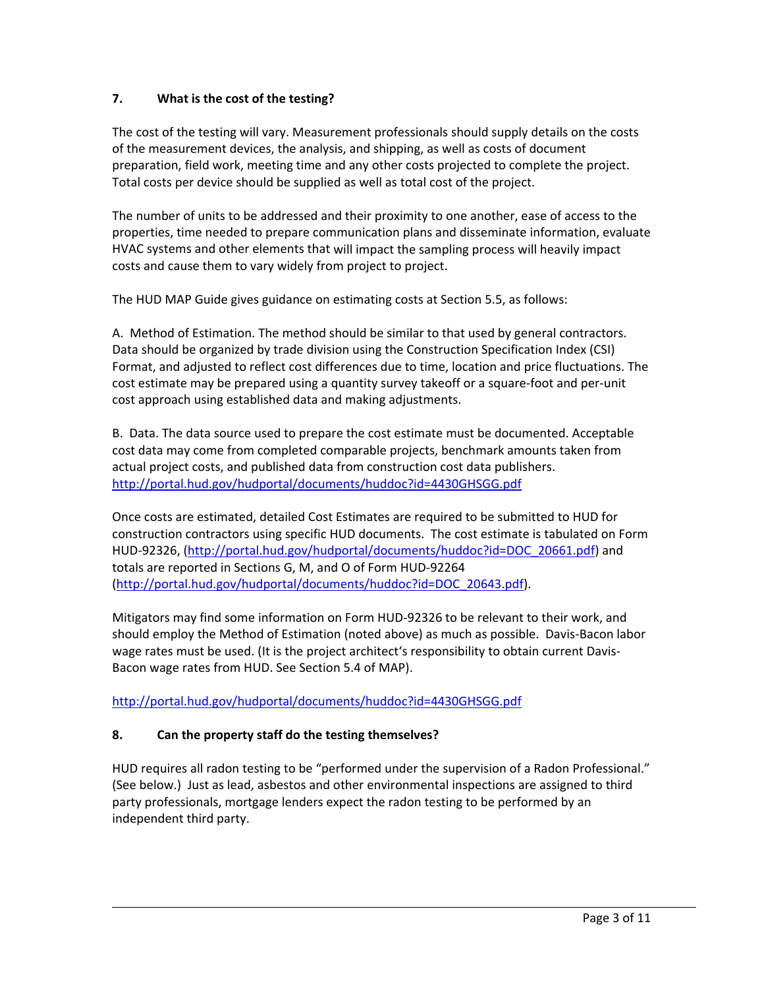# **7. What is the cost of the testing?**

The cost of the testing will vary. Measurement professionals should supply details on the costs of the measurement devices, the analysis, and shipping, as well as costs of document preparation, field work, meeting time and any other costs projected to complete the project. Total costs per device should be supplied as well as total cost of the project.

The number of units to be addressed and their proximity to one another, ease of access to the properties, time needed to prepare communication plans and disseminate information, evaluate HVAC systems and other elements that will impact the sampling process will heavily impact costs and cause them to vary widely from project to project.

The HUD MAP Guide gives guidance on estimating costs at Section 5.5, as follows:

A. Method of Estimation. The method should be similar to that used by general contractors. Data should be organized by trade division using the Construction Specification Index (CSI) Format, and adjusted to reflect cost differences due to time, location and price fluctuations. The cost estimate may be prepared using a quantity survey takeoff or a square‐foot and per‐unit cost approach using established data and making adjustments.

B. Data. The data source used to prepare the cost estimate must be documented. Acceptable cost data may come from completed comparable projects, benchmark amounts taken from actual project costs, and published data from construction cost data publishers. http://portal.hud.gov/hudportal/documents/huddoc?id=4430GHSGG.pdf

Once costs are estimated, detailed Cost Estimates are required to be submitted to HUD for construction contractors using specific HUD documents. The cost estimate is tabulated on Form HUD-92326, (http://portal.hud.gov/hudportal/documents/huddoc?id=DOC\_20661.pdf) and totals are reported in Sections G, M, and O of Form HUD‐92264 (http://portal.hud.gov/hudportal/documents/huddoc?id=DOC\_20643.pdf).

Mitigators may find some information on Form HUD‐92326 to be relevant to their work, and should employ the Method of Estimation (noted above) as much as possible. Davis‐Bacon labor wage rates must be used. (It is the project architect's responsibility to obtain current Davis‐ Bacon wage rates from HUD. See Section 5.4 of MAP).

http://portal.hud.gov/hudportal/documents/huddoc?id=4430GHSGG.pdf

### **8. Can the property staff do the testing themselves?**

HUD requires all radon testing to be "performed under the supervision of a Radon Professional." (See below.) Just as lead, asbestos and other environmental inspections are assigned to third party professionals, mortgage lenders expect the radon testing to be performed by an independent third party.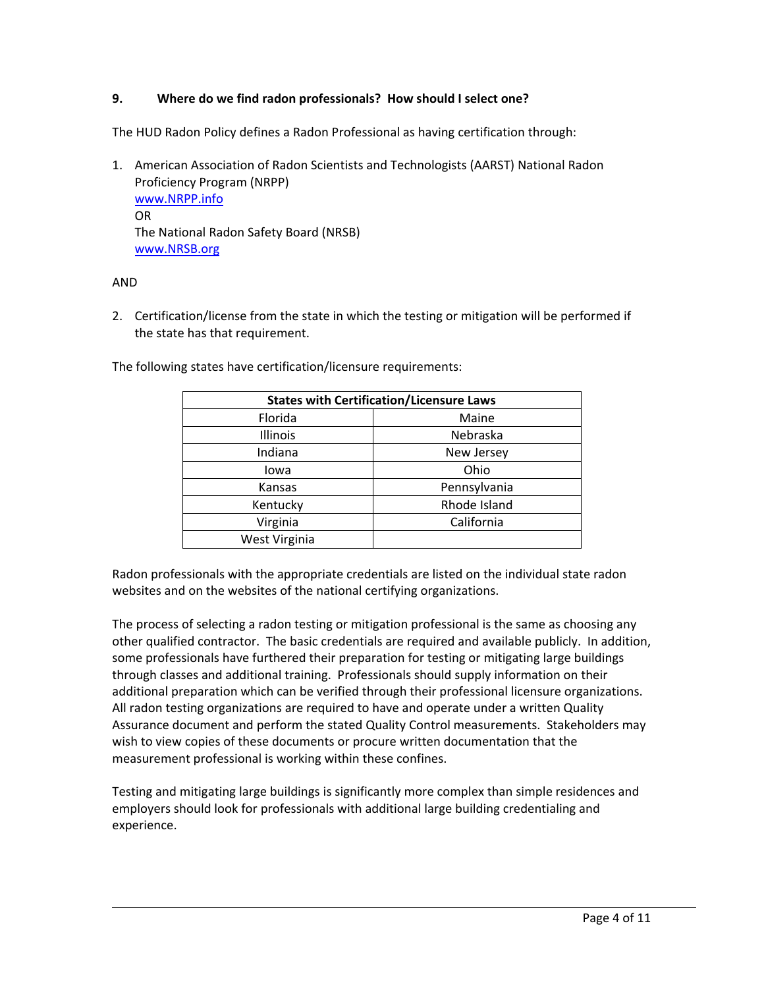#### **9. Where do we find radon professionals? How should I select one?**

The HUD Radon Policy defines a Radon Professional as having certification through:

1. American Association of Radon Scientists and Technologists (AARST) National Radon Proficiency Program (NRPP) www.NRPP.info OR The National Radon Safety Board (NRSB) www.NRSB.org

#### AND

2. Certification/license from the state in which the testing or mitigation will be performed if the state has that requirement.

| <b>States with Certification/Licensure Laws</b> |              |
|-------------------------------------------------|--------------|
| Florida                                         | Maine        |
| Illinois                                        | Nebraska     |
| Indiana                                         | New Jersey   |
| lowa                                            | Ohio         |
| Kansas                                          | Pennsylvania |
| Kentucky                                        | Rhode Island |
| Virginia                                        | California   |
| West Virginia                                   |              |

The following states have certification/licensure requirements:

Radon professionals with the appropriate credentials are listed on the individual state radon websites and on the websites of the national certifying organizations.

The process of selecting a radon testing or mitigation professional is the same as choosing any other qualified contractor. The basic credentials are required and available publicly. In addition, some professionals have furthered their preparation for testing or mitigating large buildings through classes and additional training. Professionals should supply information on their additional preparation which can be verified through their professional licensure organizations. All radon testing organizations are required to have and operate under a written Quality Assurance document and perform the stated Quality Control measurements. Stakeholders may wish to view copies of these documents or procure written documentation that the measurement professional is working within these confines.

Testing and mitigating large buildings is significantly more complex than simple residences and employers should look for professionals with additional large building credentialing and experience.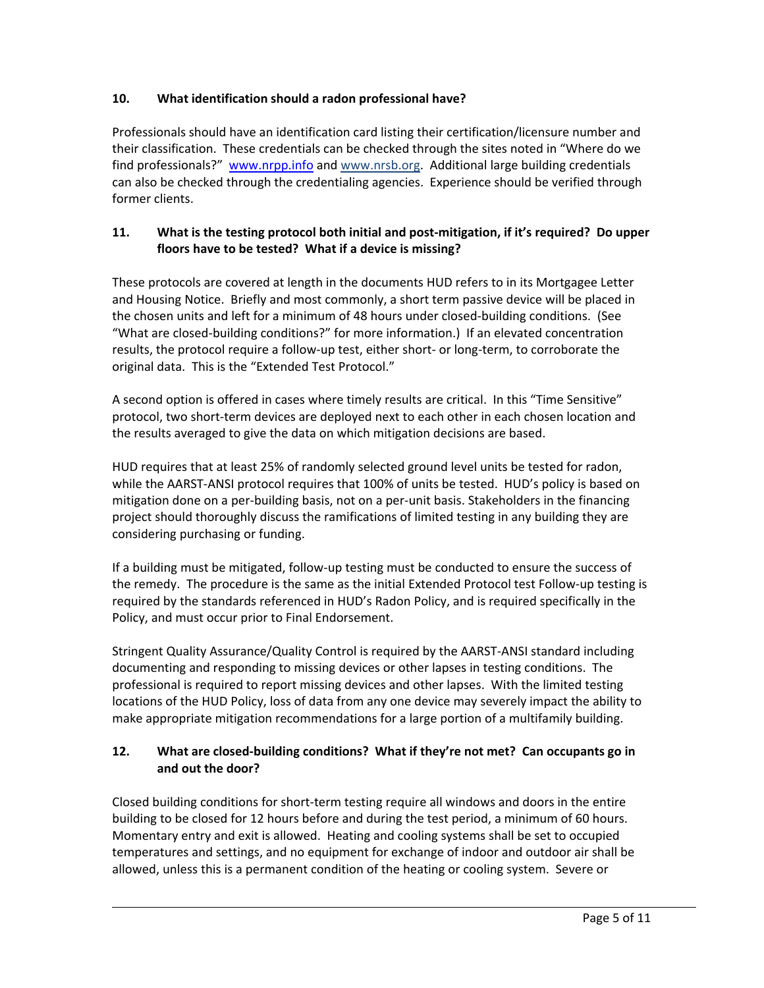# **10. What identification should a radon professional have?**

Professionals should have an identification card listing their certification/licensure number and their classification. These credentials can be checked through the sites noted in "Where do we find professionals?" www.nrpp.info and www.nrsb.org. Additional large building credentials can also be checked through the credentialing agencies. Experience should be verified through former clients.

## **11. What is the testing protocol both initial and post‐mitigation, if it's required? Do upper floors have to be tested? What if a device is missing?**

These protocols are covered at length in the documents HUD refers to in its Mortgagee Letter and Housing Notice. Briefly and most commonly, a short term passive device will be placed in the chosen units and left for a minimum of 48 hours under closed‐building conditions. (See "What are closed‐building conditions?" for more information.) If an elevated concentration results, the protocol require a follow-up test, either short- or long-term, to corroborate the original data. This is the "Extended Test Protocol."

A second option is offered in cases where timely results are critical. In this "Time Sensitive" protocol, two short‐term devices are deployed next to each other in each chosen location and the results averaged to give the data on which mitigation decisions are based.

HUD requires that at least 25% of randomly selected ground level units be tested for radon, while the AARST-ANSI protocol requires that 100% of units be tested. HUD's policy is based on mitigation done on a per‐building basis, not on a per‐unit basis. Stakeholders in the financing project should thoroughly discuss the ramifications of limited testing in any building they are considering purchasing or funding.

If a building must be mitigated, follow‐up testing must be conducted to ensure the success of the remedy. The procedure is the same as the initial Extended Protocol test Follow-up testing is required by the standards referenced in HUD's Radon Policy, and is required specifically in the Policy, and must occur prior to Final Endorsement.

Stringent Quality Assurance/Quality Control is required by the AARST‐ANSI standard including documenting and responding to missing devices or other lapses in testing conditions. The professional is required to report missing devices and other lapses. With the limited testing locations of the HUD Policy, loss of data from any one device may severely impact the ability to make appropriate mitigation recommendations for a large portion of a multifamily building.

# **12. What are closed‐building conditions? What if they're not met? Can occupants go in and out the door?**

Closed building conditions for short‐term testing require all windows and doors in the entire building to be closed for 12 hours before and during the test period, a minimum of 60 hours. Momentary entry and exit is allowed. Heating and cooling systems shall be set to occupied temperatures and settings, and no equipment for exchange of indoor and outdoor air shall be allowed, unless this is a permanent condition of the heating or cooling system. Severe or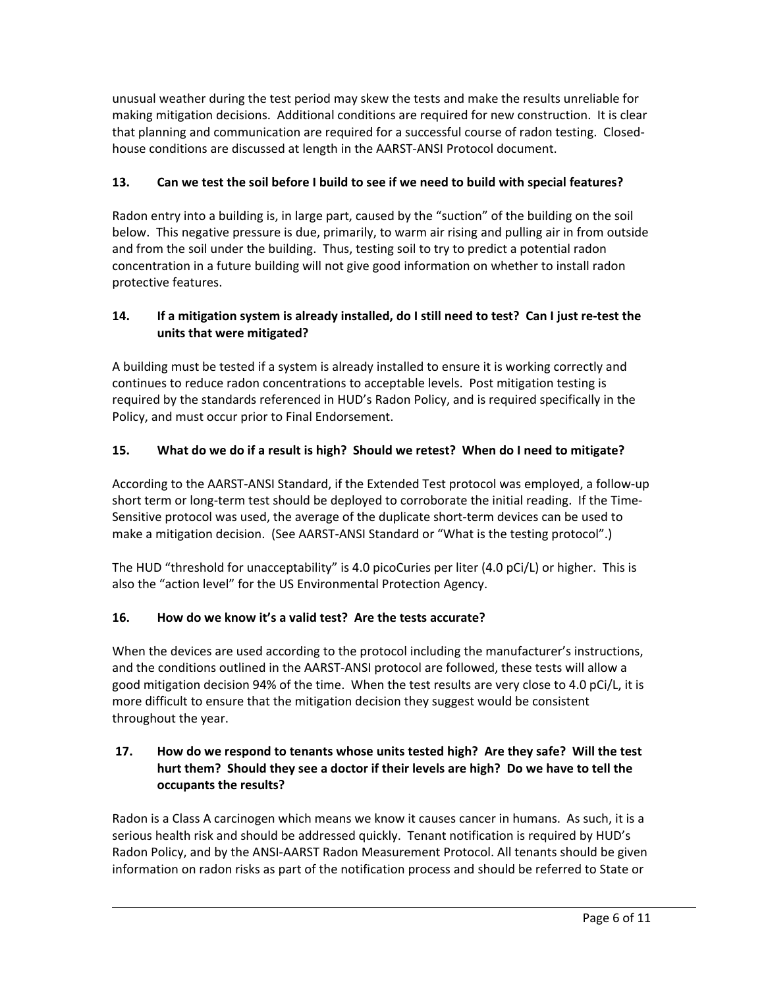unusual weather during the test period may skew the tests and make the results unreliable for making mitigation decisions. Additional conditions are required for new construction. It is clear that planning and communication are required for a successful course of radon testing. Closed‐ house conditions are discussed at length in the AARST‐ANSI Protocol document.

# **13. Can we test the soil before I build to see if we need to build with special features?**

Radon entry into a building is, in large part, caused by the "suction" of the building on the soil below. This negative pressure is due, primarily, to warm air rising and pulling air in from outside and from the soil under the building. Thus, testing soil to try to predict a potential radon concentration in a future building will not give good information on whether to install radon protective features.

# 14. If a mitigation system is already installed, do I still need to test? Can I just re-test the **units that were mitigated?**

A building must be tested if a system is already installed to ensure it is working correctly and continues to reduce radon concentrations to acceptable levels. Post mitigation testing is required by the standards referenced in HUD's Radon Policy, and is required specifically in the Policy, and must occur prior to Final Endorsement.

# 15. What do we do if a result is high? Should we retest? When do I need to mitigate?

According to the AARST‐ANSI Standard, if the Extended Test protocol was employed, a follow‐up short term or long-term test should be deployed to corroborate the initial reading. If the Time-Sensitive protocol was used, the average of the duplicate short‐term devices can be used to make a mitigation decision. (See AARST-ANSI Standard or "What is the testing protocol".)

The HUD "threshold for unacceptability" is 4.0 picoCuries per liter (4.0 pCi/L) or higher. This is also the "action level" for the US Environmental Protection Agency.

# **16. How do we know it's a valid test? Are the tests accurate?**

When the devices are used according to the protocol including the manufacturer's instructions, and the conditions outlined in the AARST‐ANSI protocol are followed, these tests will allow a good mitigation decision 94% of the time. When the test results are very close to 4.0 pCi/L, it is more difficult to ensure that the mitigation decision they suggest would be consistent throughout the year.

# **17. How do we respond to tenants whose units tested high? Are they safe? Will the test** hurt them? Should they see a doctor if their levels are high? Do we have to tell the **occupants the results?**

Radon is a Class A carcinogen which means we know it causes cancer in humans. As such, it is a serious health risk and should be addressed quickly. Tenant notification is required by HUD's Radon Policy, and by the ANSI‐AARST Radon Measurement Protocol. All tenants should be given information on radon risks as part of the notification process and should be referred to State or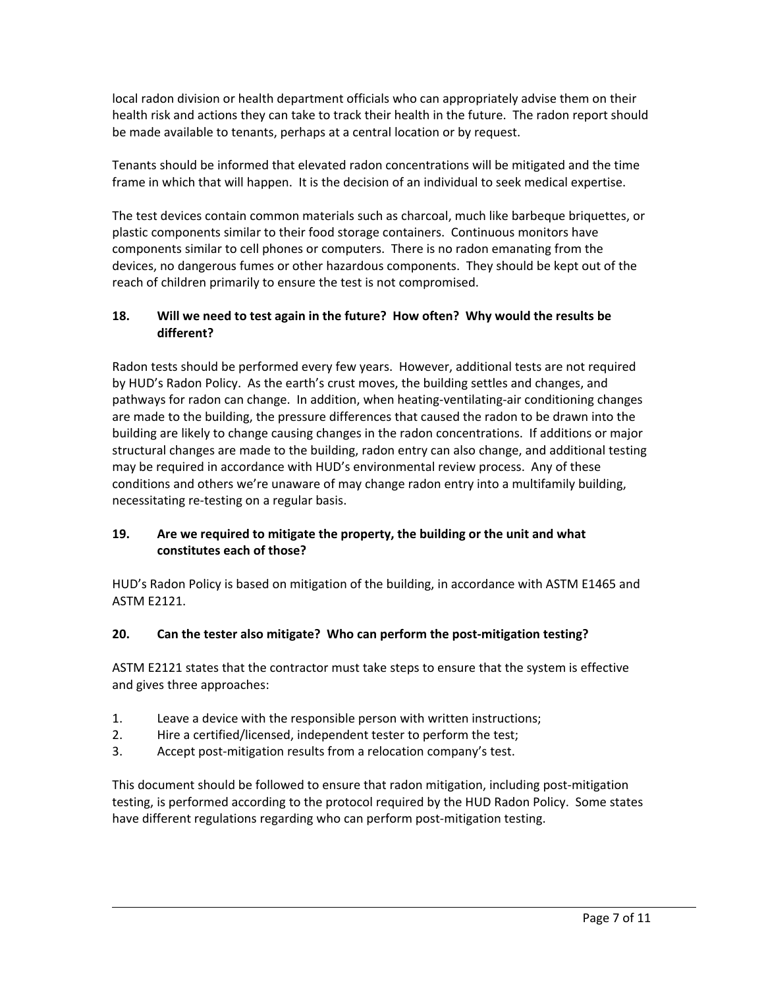local radon division or health department officials who can appropriately advise them on their health risk and actions they can take to track their health in the future. The radon report should be made available to tenants, perhaps at a central location or by request.

Tenants should be informed that elevated radon concentrations will be mitigated and the time frame in which that will happen. It is the decision of an individual to seek medical expertise.

The test devices contain common materials such as charcoal, much like barbeque briquettes, or plastic components similar to their food storage containers. Continuous monitors have components similar to cell phones or computers. There is no radon emanating from the devices, no dangerous fumes or other hazardous components. They should be kept out of the reach of children primarily to ensure the test is not compromised.

# **18. Will we need to test again in the future? How often? Why would the results be different?**

Radon tests should be performed every few years. However, additional tests are not required by HUD's Radon Policy. As the earth's crust moves, the building settles and changes, and pathways for radon can change. In addition, when heating-ventilating-air conditioning changes are made to the building, the pressure differences that caused the radon to be drawn into the building are likely to change causing changes in the radon concentrations. If additions or major structural changes are made to the building, radon entry can also change, and additional testing may be required in accordance with HUD's environmental review process. Any of these conditions and others we're unaware of may change radon entry into a multifamily building, necessitating re‐testing on a regular basis.

# **19. Are we required to mitigate the property, the building or the unit and what constitutes each of those?**

HUD's Radon Policy is based on mitigation of the building, in accordance with ASTM E1465 and ASTM E2121.

# **20. Can the tester also mitigate? Who can perform the post‐mitigation testing?**

ASTM E2121 states that the contractor must take steps to ensure that the system is effective and gives three approaches:

- 1. Leave a device with the responsible person with written instructions;
- 2. Hire a certified/licensed, independent tester to perform the test;
- 3. Accept post‐mitigation results from a relocation company's test.

This document should be followed to ensure that radon mitigation, including post-mitigation testing, is performed according to the protocol required by the HUD Radon Policy. Some states have different regulations regarding who can perform post-mitigation testing.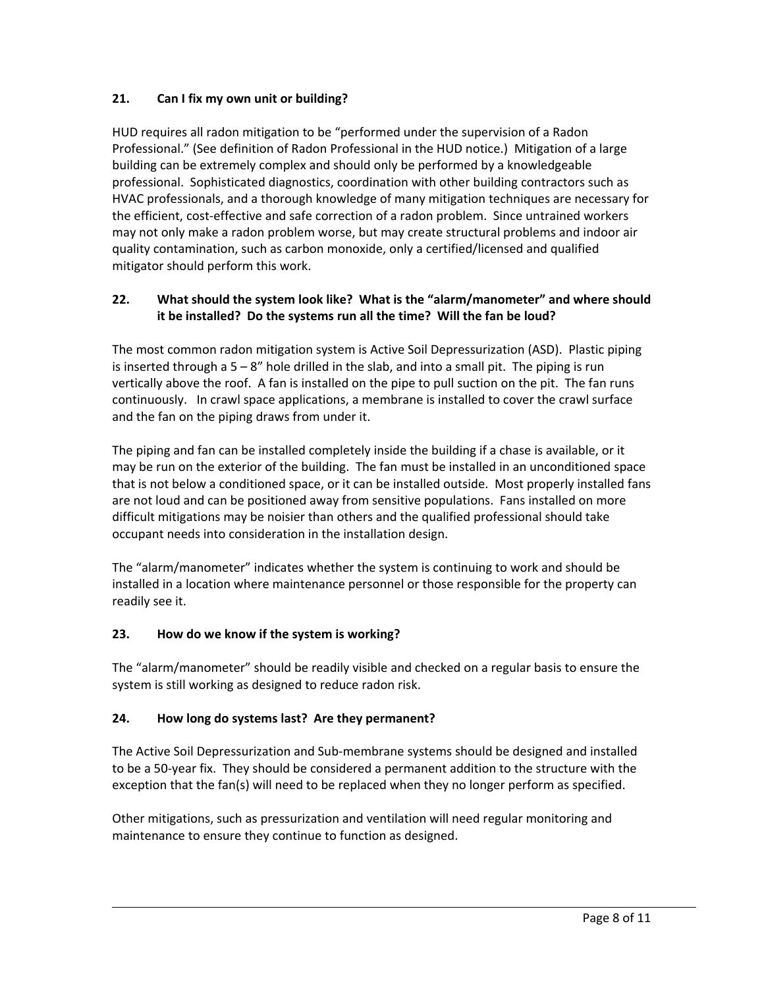# **21. Can I fix my own unit or building?**

HUD requires all radon mitigation to be "performed under the supervision of a Radon Professional." (See definition of Radon Professional in the HUD notice.) Mitigation of a large building can be extremely complex and should only be performed by a knowledgeable professional. Sophisticated diagnostics, coordination with other building contractors such as HVAC professionals, and a thorough knowledge of many mitigation techniques are necessary for the efficient, cost‐effective and safe correction of a radon problem. Since untrained workers may not only make a radon problem worse, but may create structural problems and indoor air quality contamination, such as carbon monoxide, only a certified/licensed and qualified mitigator should perform this work.

# **22. What should the system look like? What is the "alarm/manometer" and where should it be installed? Do the systems run all the time? Will the fan be loud?**

The most common radon mitigation system is Active Soil Depressurization (ASD). Plastic piping is inserted through a  $5 - 8$ " hole drilled in the slab, and into a small pit. The piping is run vertically above the roof. A fan is installed on the pipe to pull suction on the pit. The fan runs continuously. In crawl space applications, a membrane is installed to cover the crawl surface and the fan on the piping draws from under it.

The piping and fan can be installed completely inside the building if a chase is available, or it may be run on the exterior of the building. The fan must be installed in an unconditioned space that is not below a conditioned space, or it can be installed outside. Most properly installed fans are not loud and can be positioned away from sensitive populations. Fans installed on more difficult mitigations may be noisier than others and the qualified professional should take occupant needs into consideration in the installation design.

The "alarm/manometer" indicates whether the system is continuing to work and should be installed in a location where maintenance personnel or those responsible for the property can readily see it.

### **23. How do we know if the system is working?**

The "alarm/manometer" should be readily visible and checked on a regular basis to ensure the system is still working as designed to reduce radon risk.

# **24. How long do systems last? Are they permanent?**

The Active Soil Depressurization and Sub‐membrane systems should be designed and installed to be a 50‐year fix. They should be considered a permanent addition to the structure with the exception that the fan(s) will need to be replaced when they no longer perform as specified.

<u> 1980 - Andrea Santa Alemania, amerikana amerikana amerikana amerikana amerikana amerikana amerikana amerikan</u>

Other mitigations, such as pressurization and ventilation will need regular monitoring and maintenance to ensure they continue to function as designed.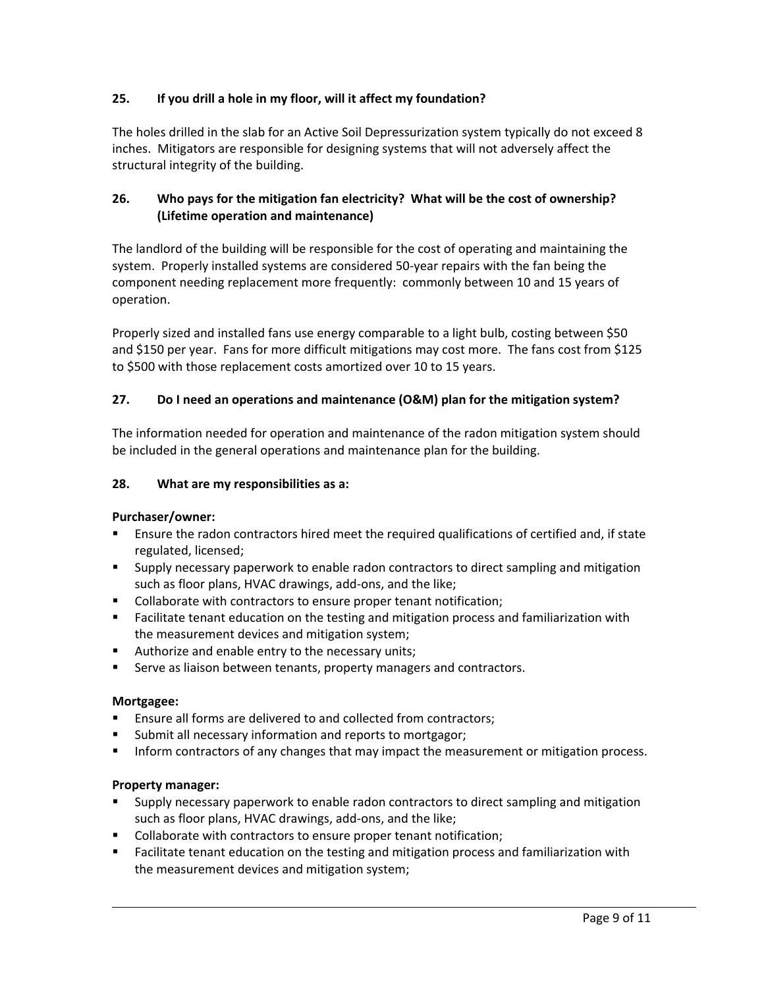# **25. If you drill a hole in my floor, will it affect my foundation?**

The holes drilled in the slab for an Active Soil Depressurization system typically do not exceed 8 inches. Mitigators are responsible for designing systems that will not adversely affect the structural integrity of the building.

# **26. Who pays for the mitigation fan electricity? What will be the cost of ownership? (Lifetime operation and maintenance)**

The landlord of the building will be responsible for the cost of operating and maintaining the system. Properly installed systems are considered 50‐year repairs with the fan being the component needing replacement more frequently: commonly between 10 and 15 years of operation.

Properly sized and installed fans use energy comparable to a light bulb, costing between \$50 and \$150 per year. Fans for more difficult mitigations may cost more. The fans cost from \$125 to \$500 with those replacement costs amortized over 10 to 15 years.

# **27. Do I need an operations and maintenance (O&M) plan for the mitigation system?**

The information needed for operation and maintenance of the radon mitigation system should be included in the general operations and maintenance plan for the building.

### **28. What are my responsibilities as a:**

### **Purchaser/owner:**

- Ensure the radon contractors hired meet the required qualifications of certified and, if state regulated, licensed;
- **Supply necessary paperwork to enable radon contractors to direct sampling and mitigation** such as floor plans, HVAC drawings, add‐ons, and the like;
- **Collaborate with contractors to ensure proper tenant notification;**
- **Facilitate tenant education on the testing and mitigation process and familiarization with** the measurement devices and mitigation system;
- **Authorize and enable entry to the necessary units;**
- Serve as liaison between tenants, property managers and contractors.

### **Mortgagee:**

- Ensure all forms are delivered to and collected from contractors;
- **Submit all necessary information and reports to mortgagor;**
- **Inform contractors of any changes that may impact the measurement or mitigation process.**

### **Property manager:**

- Supply necessary paperwork to enable radon contractors to direct sampling and mitigation such as floor plans, HVAC drawings, add‐ons, and the like;
- Collaborate with contractors to ensure proper tenant notification;
- Facilitate tenant education on the testing and mitigation process and familiarization with the measurement devices and mitigation system;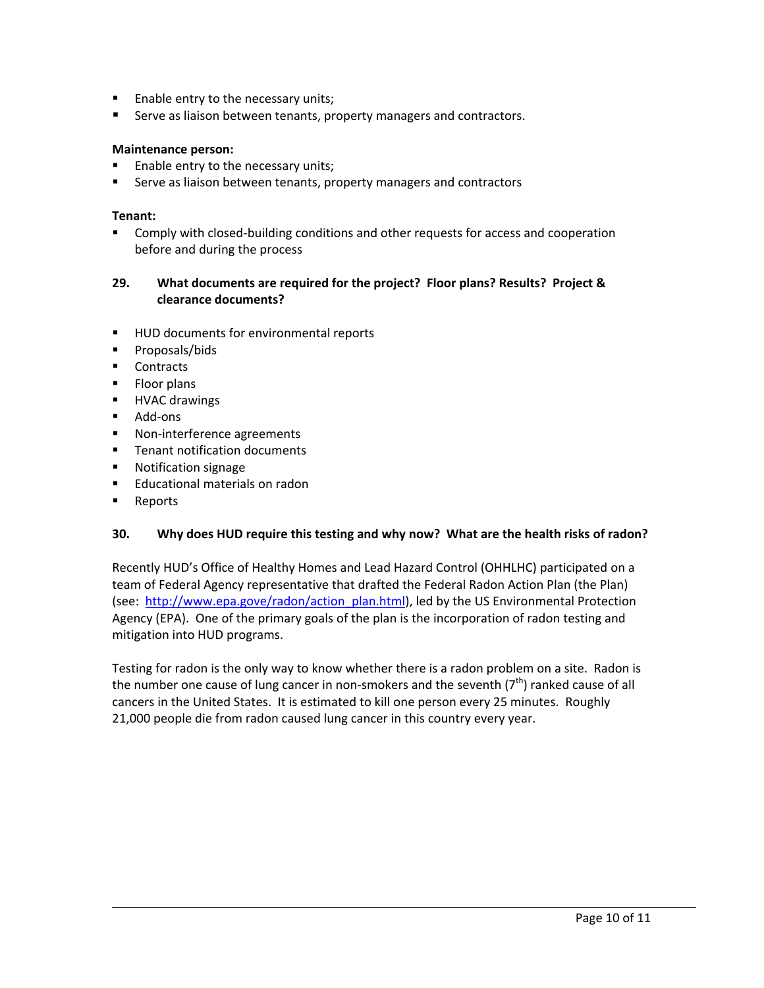- **Enable entry to the necessary units;**
- Serve as liaison between tenants, property managers and contractors.

#### **Maintenance person:**

- Enable entry to the necessary units;
- **Serve as liaison between tenants, property managers and contractors**

#### **Tenant:**

■ Comply with closed-building conditions and other requests for access and cooperation before and during the process

#### **29. What documents are required for the project? Floor plans? Results? Project & clearance documents?**

- **HUD documents for environmental reports**
- **Proposals/bids**
- Contracts
- **Floor plans**
- **HVAC drawings**
- Add-ons
- Non-interference agreements
- **Tenant notification documents**
- **Notification signage**
- **Educational materials on radon**
- **Reports**

#### **30. Why does HUD require this testing and why now? What are the health risks of radon?**

Recently HUD's Office of Healthy Homes and Lead Hazard Control (OHHLHC) participated on a team of Federal Agency representative that drafted the Federal Radon Action Plan (the Plan) (see: http://www.epa.gove/radon/action\_plan.html), led by the US Environmental Protection Agency (EPA). One of the primary goals of the plan is the incorporation of radon testing and mitigation into HUD programs.

Testing for radon is the only way to know whether there is a radon problem on a site. Radon is the number one cause of lung cancer in non-smokers and the seventh  $(7<sup>th</sup>)$  ranked cause of all cancers in the United States. It is estimated to kill one person every 25 minutes. Roughly 21,000 people die from radon caused lung cancer in this country every year.